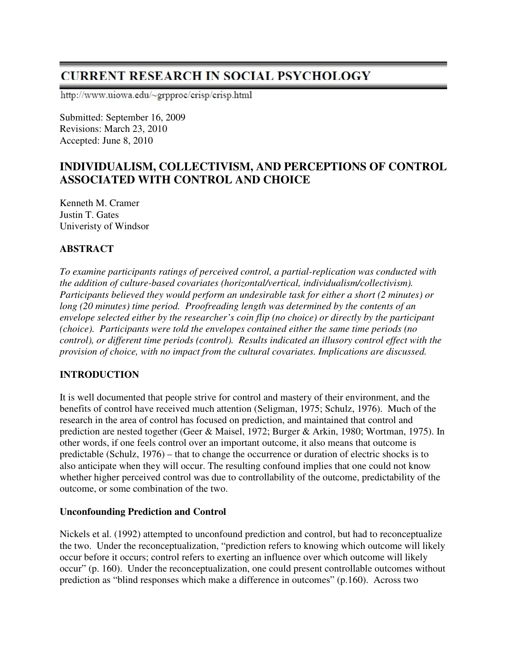# **CURRENT RESEARCH IN SOCIAL PSYCHOLOGY**

http://www.uiowa.edu/~grpproc/crisp/crisp.html

Submitted: September 16, 2009 Revisions: March 23, 2010 Accepted: June 8, 2010

# **INDIVIDUALISM, COLLECTIVISM, AND PERCEPTIONS OF CONTROL ASSOCIATED WITH CONTROL AND CHOICE**

Kenneth M. Cramer Justin T. Gates Univeristy of Windsor

## **ABSTRACT**

*To examine participants ratings of perceived control, a partial-replication was conducted with the addition of culture-based covariates (horizontal/vertical, individualism/collectivism). Participants believed they would perform an undesirable task for either a short (2 minutes) or long (20 minutes) time period. Proofreading length was determined by the contents of an envelope selected either by the researcher's coin flip (no choice) or directly by the participant (choice). Participants were told the envelopes contained either the same time periods (no control), or different time periods (control). Results indicated an illusory control effect with the provision of choice, with no impact from the cultural covariates. Implications are discussed.* 

## **INTRODUCTION**

It is well documented that people strive for control and mastery of their environment, and the benefits of control have received much attention (Seligman, 1975; Schulz, 1976). Much of the research in the area of control has focused on prediction, and maintained that control and prediction are nested together (Geer & Maisel, 1972; Burger & Arkin, 1980; Wortman, 1975). In other words, if one feels control over an important outcome, it also means that outcome is predictable (Schulz, 1976) – that to change the occurrence or duration of electric shocks is to also anticipate when they will occur. The resulting confound implies that one could not know whether higher perceived control was due to controllability of the outcome, predictability of the outcome, or some combination of the two.

#### **Unconfounding Prediction and Control**

Nickels et al. (1992) attempted to unconfound prediction and control, but had to reconceptualize the two. Under the reconceptualization, "prediction refers to knowing which outcome will likely occur before it occurs; control refers to exerting an influence over which outcome will likely occur" (p. 160). Under the reconceptualization, one could present controllable outcomes without prediction as "blind responses which make a difference in outcomes" (p.160). Across two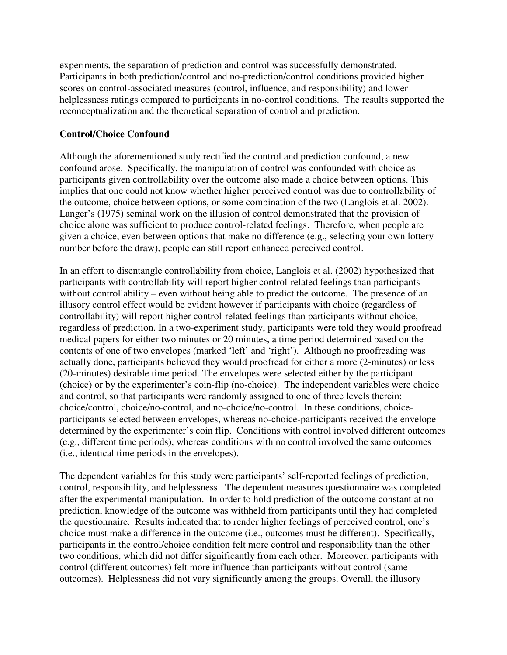experiments, the separation of prediction and control was successfully demonstrated. Participants in both prediction/control and no-prediction/control conditions provided higher scores on control-associated measures (control, influence, and responsibility) and lower helplessness ratings compared to participants in no-control conditions. The results supported the reconceptualization and the theoretical separation of control and prediction.

#### **Control/Choice Confound**

Although the aforementioned study rectified the control and prediction confound, a new confound arose. Specifically, the manipulation of control was confounded with choice as participants given controllability over the outcome also made a choice between options. This implies that one could not know whether higher perceived control was due to controllability of the outcome, choice between options, or some combination of the two (Langlois et al. 2002). Langer's (1975) seminal work on the illusion of control demonstrated that the provision of choice alone was sufficient to produce control-related feelings. Therefore, when people are given a choice, even between options that make no difference (e.g., selecting your own lottery number before the draw), people can still report enhanced perceived control.

In an effort to disentangle controllability from choice, Langlois et al. (2002) hypothesized that participants with controllability will report higher control-related feelings than participants without controllability – even without being able to predict the outcome. The presence of an illusory control effect would be evident however if participants with choice (regardless of controllability) will report higher control-related feelings than participants without choice, regardless of prediction. In a two-experiment study, participants were told they would proofread medical papers for either two minutes or 20 minutes, a time period determined based on the contents of one of two envelopes (marked 'left' and 'right'). Although no proofreading was actually done, participants believed they would proofread for either a more (2-minutes) or less (20-minutes) desirable time period. The envelopes were selected either by the participant (choice) or by the experimenter's coin-flip (no-choice). The independent variables were choice and control, so that participants were randomly assigned to one of three levels therein: choice/control, choice/no-control, and no-choice/no-control. In these conditions, choiceparticipants selected between envelopes, whereas no-choice-participants received the envelope determined by the experimenter's coin flip. Conditions with control involved different outcomes (e.g., different time periods), whereas conditions with no control involved the same outcomes (i.e., identical time periods in the envelopes).

The dependent variables for this study were participants' self-reported feelings of prediction, control, responsibility, and helplessness. The dependent measures questionnaire was completed after the experimental manipulation. In order to hold prediction of the outcome constant at noprediction, knowledge of the outcome was withheld from participants until they had completed the questionnaire. Results indicated that to render higher feelings of perceived control, one's choice must make a difference in the outcome (i.e., outcomes must be different). Specifically, participants in the control/choice condition felt more control and responsibility than the other two conditions, which did not differ significantly from each other. Moreover, participants with control (different outcomes) felt more influence than participants without control (same outcomes). Helplessness did not vary significantly among the groups. Overall, the illusory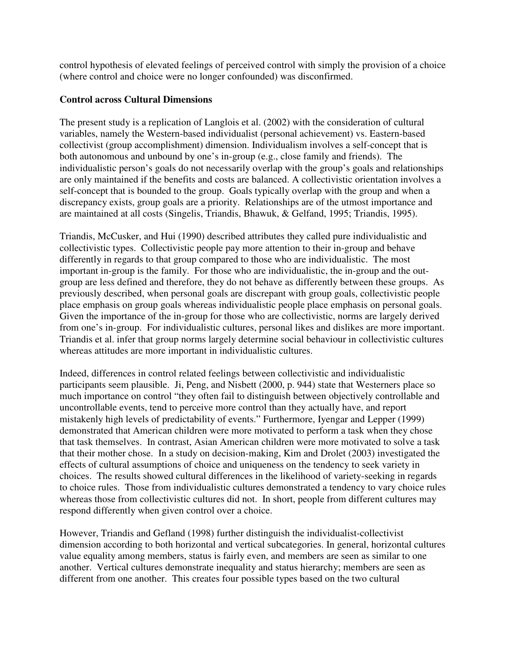control hypothesis of elevated feelings of perceived control with simply the provision of a choice (where control and choice were no longer confounded) was disconfirmed.

#### **Control across Cultural Dimensions**

The present study is a replication of Langlois et al. (2002) with the consideration of cultural variables, namely the Western-based individualist (personal achievement) vs. Eastern-based collectivist (group accomplishment) dimension. Individualism involves a self-concept that is both autonomous and unbound by one's in-group (e.g., close family and friends). The individualistic person's goals do not necessarily overlap with the group's goals and relationships are only maintained if the benefits and costs are balanced. A collectivistic orientation involves a self-concept that is bounded to the group. Goals typically overlap with the group and when a discrepancy exists, group goals are a priority. Relationships are of the utmost importance and are maintained at all costs (Singelis, Triandis, Bhawuk, & Gelfand, 1995; Triandis, 1995).

Triandis, McCusker, and Hui (1990) described attributes they called pure individualistic and collectivistic types. Collectivistic people pay more attention to their in-group and behave differently in regards to that group compared to those who are individualistic. The most important in-group is the family. For those who are individualistic, the in-group and the outgroup are less defined and therefore, they do not behave as differently between these groups. As previously described, when personal goals are discrepant with group goals, collectivistic people place emphasis on group goals whereas individualistic people place emphasis on personal goals. Given the importance of the in-group for those who are collectivistic, norms are largely derived from one's in-group. For individualistic cultures, personal likes and dislikes are more important. Triandis et al. infer that group norms largely determine social behaviour in collectivistic cultures whereas attitudes are more important in individualistic cultures.

Indeed, differences in control related feelings between collectivistic and individualistic participants seem plausible. Ji, Peng, and Nisbett (2000, p. 944) state that Westerners place so much importance on control "they often fail to distinguish between objectively controllable and uncontrollable events, tend to perceive more control than they actually have, and report mistakenly high levels of predictability of events." Furthermore, Iyengar and Lepper (1999) demonstrated that American children were more motivated to perform a task when they chose that task themselves. In contrast, Asian American children were more motivated to solve a task that their mother chose. In a study on decision-making, Kim and Drolet (2003) investigated the effects of cultural assumptions of choice and uniqueness on the tendency to seek variety in choices. The results showed cultural differences in the likelihood of variety-seeking in regards to choice rules. Those from individualistic cultures demonstrated a tendency to vary choice rules whereas those from collectivistic cultures did not. In short, people from different cultures may respond differently when given control over a choice.

However, Triandis and Gefland (1998) further distinguish the individualist-collectivist dimension according to both horizontal and vertical subcategories. In general, horizontal cultures value equality among members, status is fairly even, and members are seen as similar to one another. Vertical cultures demonstrate inequality and status hierarchy; members are seen as different from one another. This creates four possible types based on the two cultural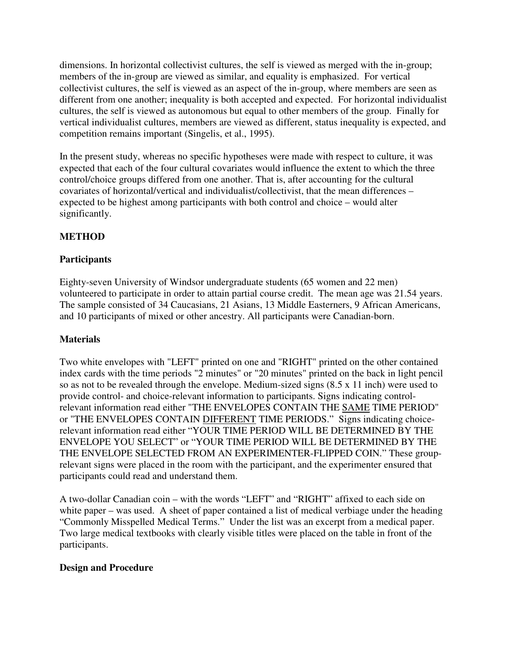dimensions. In horizontal collectivist cultures, the self is viewed as merged with the in-group; members of the in-group are viewed as similar, and equality is emphasized. For vertical collectivist cultures, the self is viewed as an aspect of the in-group, where members are seen as different from one another; inequality is both accepted and expected. For horizontal individualist cultures, the self is viewed as autonomous but equal to other members of the group. Finally for vertical individualist cultures, members are viewed as different, status inequality is expected, and competition remains important (Singelis, et al., 1995).

In the present study, whereas no specific hypotheses were made with respect to culture, it was expected that each of the four cultural covariates would influence the extent to which the three control/choice groups differed from one another. That is, after accounting for the cultural covariates of horizontal/vertical and individualist/collectivist, that the mean differences – expected to be highest among participants with both control and choice – would alter significantly.

# **METHOD**

## **Participants**

Eighty-seven University of Windsor undergraduate students (65 women and 22 men) volunteered to participate in order to attain partial course credit. The mean age was 21.54 years. The sample consisted of 34 Caucasians, 21 Asians, 13 Middle Easterners, 9 African Americans, and 10 participants of mixed or other ancestry. All participants were Canadian-born.

## **Materials**

Two white envelopes with "LEFT" printed on one and "RIGHT" printed on the other contained index cards with the time periods "2 minutes" or "20 minutes" printed on the back in light pencil so as not to be revealed through the envelope. Medium-sized signs (8.5 x 11 inch) were used to provide control- and choice-relevant information to participants. Signs indicating controlrelevant information read either "THE ENVELOPES CONTAIN THE SAME TIME PERIOD" or "THE ENVELOPES CONTAIN DIFFERENT TIME PERIODS." Signs indicating choicerelevant information read either "YOUR TIME PERIOD WILL BE DETERMINED BY THE ENVELOPE YOU SELECT" or "YOUR TIME PERIOD WILL BE DETERMINED BY THE THE ENVELOPE SELECTED FROM AN EXPERIMENTER-FLIPPED COIN." These grouprelevant signs were placed in the room with the participant, and the experimenter ensured that participants could read and understand them.

A two-dollar Canadian coin – with the words "LEFT" and "RIGHT" affixed to each side on white paper – was used. A sheet of paper contained a list of medical verbiage under the heading "Commonly Misspelled Medical Terms." Under the list was an excerpt from a medical paper. Two large medical textbooks with clearly visible titles were placed on the table in front of the participants.

## **Design and Procedure**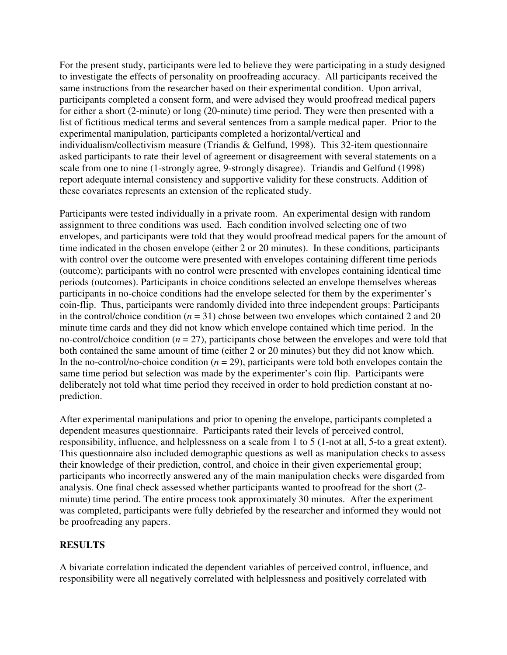For the present study, participants were led to believe they were participating in a study designed to investigate the effects of personality on proofreading accuracy. All participants received the same instructions from the researcher based on their experimental condition. Upon arrival, participants completed a consent form, and were advised they would proofread medical papers for either a short (2-minute) or long (20-minute) time period. They were then presented with a list of fictitious medical terms and several sentences from a sample medical paper. Prior to the experimental manipulation, participants completed a horizontal/vertical and individualism/collectivism measure (Triandis & Gelfund, 1998). This 32-item questionnaire asked participants to rate their level of agreement or disagreement with several statements on a scale from one to nine (1-strongly agree, 9-strongly disagree). Triandis and Gelfund (1998) report adequate internal consistency and supportive validity for these constructs. Addition of these covariates represents an extension of the replicated study.

Participants were tested individually in a private room. An experimental design with random assignment to three conditions was used. Each condition involved selecting one of two envelopes, and participants were told that they would proofread medical papers for the amount of time indicated in the chosen envelope (either 2 or 20 minutes). In these conditions, participants with control over the outcome were presented with envelopes containing different time periods (outcome); participants with no control were presented with envelopes containing identical time periods (outcomes). Participants in choice conditions selected an envelope themselves whereas participants in no-choice conditions had the envelope selected for them by the experimenter's coin-flip. Thus, participants were randomly divided into three independent groups: Participants in the control/choice condition  $(n = 31)$  chose between two envelopes which contained 2 and 20 minute time cards and they did not know which envelope contained which time period. In the no-control/choice condition  $(n = 27)$ , participants chose between the envelopes and were told that both contained the same amount of time (either 2 or 20 minutes) but they did not know which. In the no-control/no-choice condition  $(n = 29)$ , participants were told both envelopes contain the same time period but selection was made by the experimenter's coin flip. Participants were deliberately not told what time period they received in order to hold prediction constant at noprediction.

After experimental manipulations and prior to opening the envelope, participants completed a dependent measures questionnaire. Participants rated their levels of perceived control, responsibility, influence, and helplessness on a scale from 1 to 5 (1-not at all, 5-to a great extent). This questionnaire also included demographic questions as well as manipulation checks to assess their knowledge of their prediction, control, and choice in their given experiemental group; participants who incorrectly answered any of the main manipulation checks were disgarded from analysis. One final check assessed whether participants wanted to proofread for the short (2 minute) time period. The entire process took approximately 30 minutes. After the experiment was completed, participants were fully debriefed by the researcher and informed they would not be proofreading any papers.

## **RESULTS**

A bivariate correlation indicated the dependent variables of perceived control, influence, and responsibility were all negatively correlated with helplessness and positively correlated with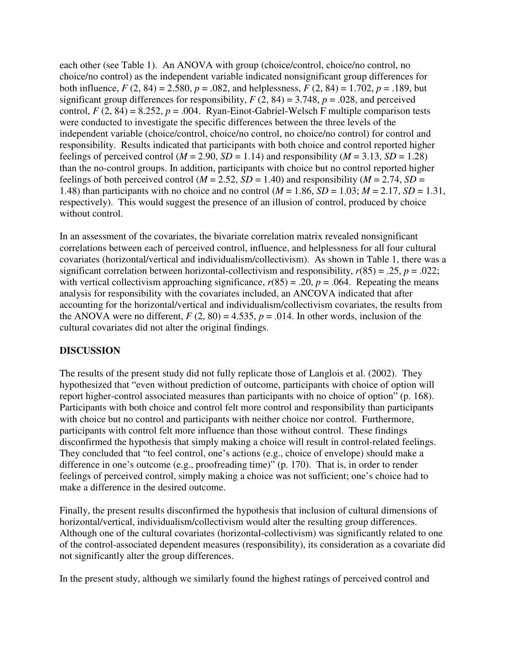each other (see Table 1). An ANOVA with group (choice/control, choice/no control, no choice/no control) as the independent variable indicated nonsignificant group differences for both influence,  $F(2, 84) = 2.580$ ,  $p = .082$ , and helplessness,  $F(2, 84) = 1.702$ ,  $p = .189$ , but significant group differences for responsibility,  $F(2, 84) = 3.748$ ,  $p = .028$ , and perceived control,  $F(2, 84) = 8.252$ ,  $p = .004$ . Ryan-Einot-Gabriel-Welsch F multiple comparison tests were conducted to investigate the specific differences between the three levels of the independent variable (choice/control, choice/no control, no choice/no control) for control and responsibility. Results indicated that participants with both choice and control reported higher feelings of perceived control ( $M = 2.90$ ,  $SD = 1.14$ ) and responsibility ( $M = 3.13$ ,  $SD = 1.28$ ) than the no-control groups. In addition, participants with choice but no control reported higher feelings of both perceived control ( $M = 2.52$ ,  $SD = 1.40$ ) and responsibility ( $M = 2.74$ ,  $SD =$ 1.48) than participants with no choice and no control ( $M = 1.86$ ,  $SD = 1.03$ ;  $M = 2.17$ ,  $SD = 1.31$ , respectively). This would suggest the presence of an illusion of control, produced by choice without control.

In an assessment of the covariates, the bivariate correlation matrix revealed nonsignificant correlations between each of perceived control, influence, and helplessness for all four cultural covariates (horizontal/vertical and individualism/collectivism). As shown in Table 1, there was a significant correlation between horizontal-collectivism and responsibility,  $r(85) = .25$ ,  $p = .022$ ; with vertical collectivism approaching significance,  $r(85) = .20$ ,  $p = .064$ . Repeating the means analysis for responsibility with the covariates included, an ANCOVA indicated that after accounting for the horizontal/vertical and individualism/collectivism covariates, the results from the ANOVA were no different,  $F(2, 80) = 4.535$ ,  $p = .014$ . In other words, inclusion of the cultural covariates did not alter the original findings.

## **DISCUSSION**

The results of the present study did not fully replicate those of Langlois et al. (2002). They hypothesized that "even without prediction of outcome, participants with choice of option will report higher-control associated measures than participants with no choice of option" (p. 168). Participants with both choice and control felt more control and responsibility than participants with choice but no control and participants with neither choice nor control. Furthermore, participants with control felt more influence than those without control. These findings disconfirmed the hypothesis that simply making a choice will result in control-related feelings. They concluded that "to feel control, one's actions (e.g., choice of envelope) should make a difference in one's outcome (e.g., proofreading time)" (p. 170). That is, in order to render feelings of perceived control, simply making a choice was not sufficient; one's choice had to make a difference in the desired outcome.

Finally, the present results disconfirmed the hypothesis that inclusion of cultural dimensions of horizontal/vertical, individualism/collectivism would alter the resulting group differences. Although one of the cultural covariates (horizontal-collectivism) was significantly related to one of the control-associated dependent measures (responsibility), its consideration as a covariate did not significantly alter the group differences.

In the present study, although we similarly found the highest ratings of perceived control and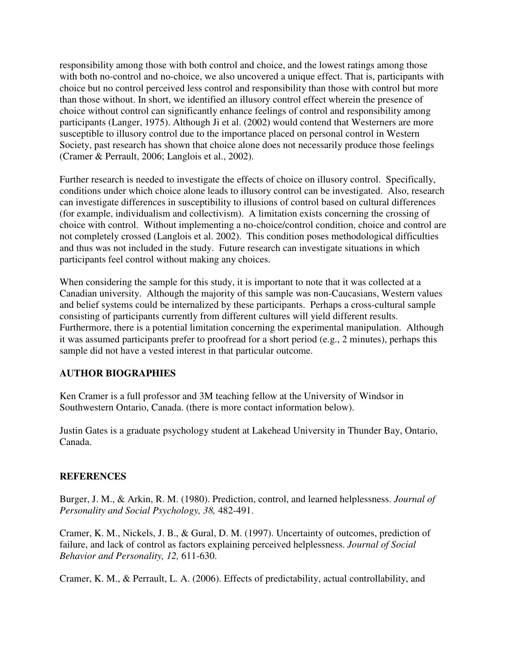responsibility among those with both control and choice, and the lowest ratings among those with both no-control and no-choice, we also uncovered a unique effect. That is, participants with choice but no control perceived less control and responsibility than those with control but more than those without. In short, we identified an illusory control effect wherein the presence of choice without control can significantly enhance feelings of control and responsibility among participants (Langer, 1975). Although Ji et al. (2002) would contend that Westerners are more susceptible to illusory control due to the importance placed on personal control in Western Society, past research has shown that choice alone does not necessarily produce those feelings (Cramer & Perrault, 2006; Langlois et al., 2002).

Further research is needed to investigate the effects of choice on illusory control. Specifically, conditions under which choice alone leads to illusory control can be investigated. Also, research can investigate differences in susceptibility to illusions of control based on cultural differences (for example, individualism and collectivism). A limitation exists concerning the crossing of choice with control. Without implementing a no-choice/control condition, choice and control are not completely crossed (Langlois et al. 2002). This condition poses methodological difficulties and thus was not included in the study. Future research can investigate situations in which participants feel control without making any choices.

When considering the sample for this study, it is important to note that it was collected at a Canadian university. Although the majority of this sample was non-Caucasians, Western values and belief systems could be internalized by these participants. Perhaps a cross-cultural sample consisting of participants currently from different cultures will yield different results. Furthermore, there is a potential limitation concerning the experimental manipulation. Although it was assumed participants prefer to proofread for a short period (e.g., 2 minutes), perhaps this sample did not have a vested interest in that particular outcome.

## **AUTHOR BIOGRAPHIES**

Ken Cramer is a full professor and 3M teaching fellow at the University of Windsor in Southwestern Ontario, Canada. (there is more contact information below).

Justin Gates is a graduate psychology student at Lakehead University in Thunder Bay, Ontario, Canada.

## **REFERENCES**

Burger, J. M., & Arkin, R. M. (1980). Prediction, control, and learned helplessness. *Journal of Personality and Social Psychology, 38,* 482-491.

Cramer, K. M., Nickels, J. B., & Gural, D. M. (1997). Uncertainty of outcomes, prediction of failure, and lack of control as factors explaining perceived helplessness. *Journal of Social Behavior and Personality, 12,* 611-630.

Cramer, K. M., & Perrault, L. A. (2006). Effects of predictability, actual controllability, and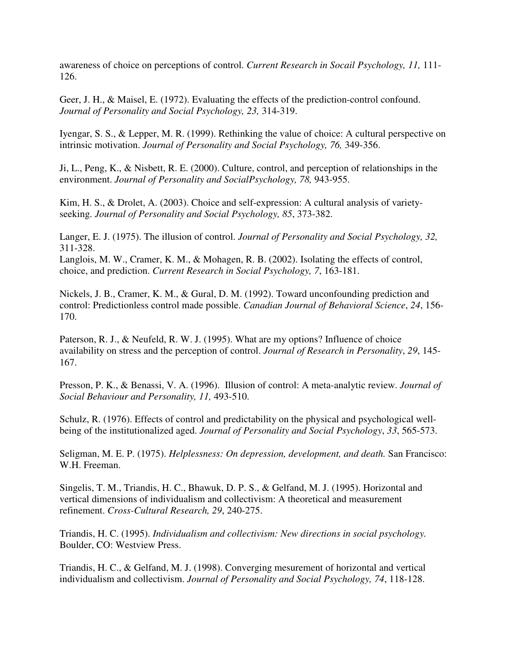awareness of choice on perceptions of control. *Current Research in Socail Psychology, 11,* 111- 126.

Geer, J. H., & Maisel, E. (1972). Evaluating the effects of the prediction-control confound. *Journal of Personality and Social Psychology, 23,* 314-319.

Iyengar, S. S., & Lepper, M. R. (1999). Rethinking the value of choice: A cultural perspective on intrinsic motivation. *Journal of Personality and Social Psychology, 76,* 349-356.

Ji, L., Peng, K., & Nisbett, R. E. (2000). Culture, control, and perception of relationships in the environment. *Journal of Personality and SocialPsychology, 78,* 943-955.

Kim, H. S., & Drolet, A. (2003). Choice and self-expression: A cultural analysis of varietyseeking. *Journal of Personality and Social Psychology, 85*, 373-382.

Langer, E. J. (1975). The illusion of control. *Journal of Personality and Social Psychology, 32,*  311-328.

Langlois, M. W., Cramer, K. M., & Mohagen, R. B. (2002). Isolating the effects of control, choice, and prediction. *Current Research in Social Psychology, 7*, 163-181.

Nickels, J. B., Cramer, K. M., & Gural, D. M. (1992). Toward unconfounding prediction and control: Predictionless control made possible. *Canadian Journal of Behavioral Science*, *24*, 156- 170.

Paterson, R. J., & Neufeld, R. W. J. (1995). What are my options? Influence of choice availability on stress and the perception of control. *Journal of Research in Personality*, *29*, 145- 167.

Presson, P. K., & Benassi, V. A. (1996). Illusion of control: A meta-analytic review. *Journal of Social Behaviour and Personality, 11,* 493-510.

Schulz, R. (1976). Effects of control and predictability on the physical and psychological wellbeing of the institutionalized aged. *Journal of Personality and Social Psychology*, *33*, 565-573.

Seligman, M. E. P. (1975). *Helplessness: On depression, development, and death.* San Francisco: W.H. Freeman.

Singelis, T. M., Triandis, H. C., Bhawuk, D. P. S., & Gelfand, M. J. (1995). Horizontal and vertical dimensions of individualism and collectivism: A theoretical and measurement refinement. *Cross-Cultural Research, 29*, 240-275.

Triandis, H. C. (1995). *Individualism and collectivism: New directions in social psychology.*  Boulder, CO: Westview Press.

Triandis, H. C., & Gelfand, M. J. (1998). Converging mesurement of horizontal and vertical individualism and collectivism. *Journal of Personality and Social Psychology, 74*, 118-128.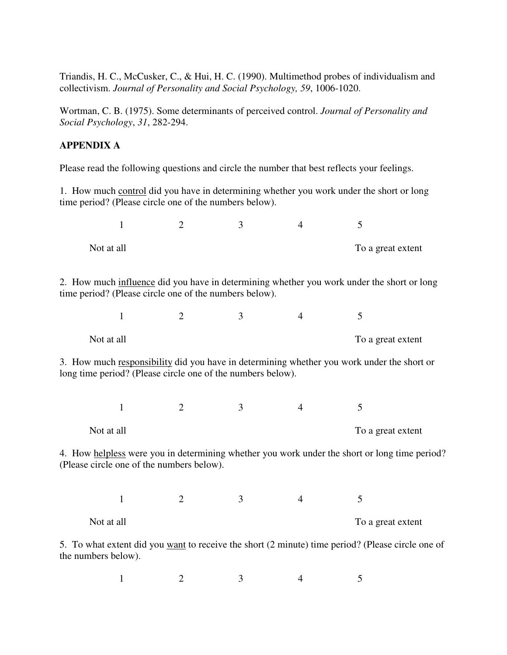Triandis, H. C., McCusker, C., & Hui, H. C. (1990). Multimethod probes of individualism and collectivism. *Journal of Personality and Social Psychology, 59*, 1006-1020.

Wortman, C. B. (1975). Some determinants of perceived control. *Journal of Personality and Social Psychology*, *31*, 282-294.

#### **APPENDIX A**

Please read the following questions and circle the number that best reflects your feelings.

1. How much control did you have in determining whether you work under the short or long time period? (Please circle one of the numbers below).

|                                                                                                                                                           | 1          | $\overline{2}$ | 3 | $\overline{4}$ | 5                 |  |  |  |  |  |  |  |
|-----------------------------------------------------------------------------------------------------------------------------------------------------------|------------|----------------|---|----------------|-------------------|--|--|--|--|--|--|--|
|                                                                                                                                                           | Not at all |                |   |                | To a great extent |  |  |  |  |  |  |  |
| 2. How much influence did you have in determining whether you work under the short or long<br>time period? (Please circle one of the numbers below).      |            |                |   |                |                   |  |  |  |  |  |  |  |
|                                                                                                                                                           | 1          | $\overline{2}$ | 3 | $\overline{4}$ | 5                 |  |  |  |  |  |  |  |
|                                                                                                                                                           | Not at all |                |   |                | To a great extent |  |  |  |  |  |  |  |
| 3. How much responsibility did you have in determining whether you work under the short or<br>long time period? (Please circle one of the numbers below). |            |                |   |                |                   |  |  |  |  |  |  |  |
|                                                                                                                                                           | 1          | $\overline{2}$ | 3 | $\overline{4}$ | 5                 |  |  |  |  |  |  |  |
|                                                                                                                                                           | Not at all |                |   |                | To a great extent |  |  |  |  |  |  |  |
| 4. How helpless were you in determining whether you work under the short or long time period?<br>(Please circle one of the numbers below).                |            |                |   |                |                   |  |  |  |  |  |  |  |
|                                                                                                                                                           | 1          | $\overline{2}$ | 3 | $\overline{4}$ | 5                 |  |  |  |  |  |  |  |
|                                                                                                                                                           | Not at all |                |   |                | To a great extent |  |  |  |  |  |  |  |
| 5. To what extent did you want to receive the short (2 minute) time period? (Please circle one of<br>the numbers below).                                  |            |                |   |                |                   |  |  |  |  |  |  |  |

1 2 3 4 5